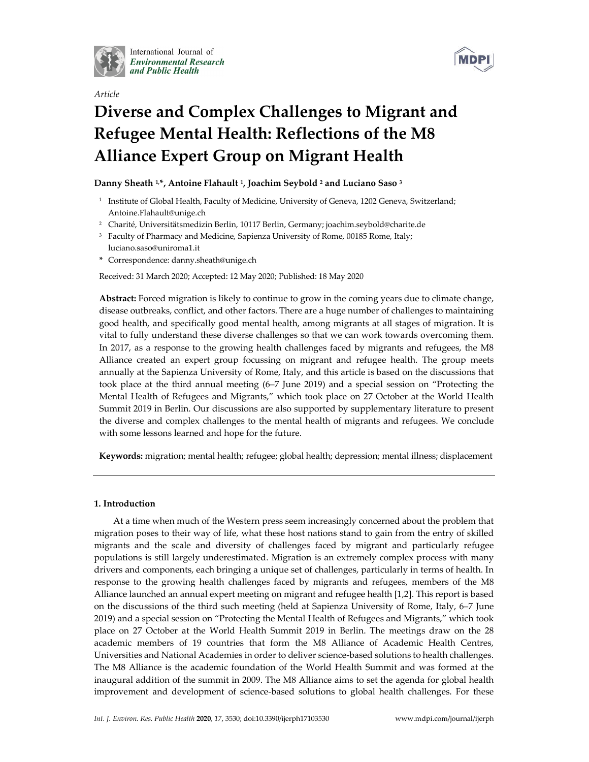

International Journal of **Environmental Research** and Public Health



MDP

# *Article* **Diverse and Complex Challenges to Migrant and Refugee Mental Health: Reflections of the M8 Alliance Expert Group on Migrant Health**

## **Danny Sheath 1, \*, Antoine Flahault 1, Joachim Seybold <sup>2</sup> and Luciano Saso <sup>3</sup>**

- <sup>1</sup> Institute of Global Health, Faculty of Medicine, University of Geneva, 1202 Geneva, Switzerland; Antoine.Flahault@unige.ch
- <sup>2</sup> Charité, Universitätsmedizin Berlin, 10117 Berlin, Germany; joachim.seybold@charite.de
- <sup>3</sup> Faculty of Pharmacy and Medicine, Sapienza University of Rome, 00185 Rome, Italy; luciano.saso@uniroma1.it
- **\*** Correspondence: danny.sheath@unige.ch

Received: 31 March 2020; Accepted: 12 May 2020; Published: 18 May 2020

**Abstract:** Forced migration is likely to continue to grow in the coming years due to climate change, disease outbreaks, conflict, and other factors. There are a huge number of challenges to maintaining good health, and specifically good mental health, among migrants at all stages of migration. It is vital to fully understand these diverse challenges so that we can work towards overcoming them. In 2017, as a response to the growing health challenges faced by migrants and refugees, the M8 Alliance created an expert group focussing on migrant and refugee health. The group meets annually at the Sapienza University of Rome, Italy, and this article is based on the discussions that took place at the third annual meeting (6–7 June 2019) and a special session on "Protecting the Mental Health of Refugees and Migrants," which took place on 27 October at the World Health Summit 2019 in Berlin. Our discussions are also supported by supplementary literature to present the diverse and complex challenges to the mental health of migrants and refugees. We conclude with some lessons learned and hope for the future.

**Keywords:** migration; mental health; refugee; global health; depression; mental illness; displacement

## **1. Introduction**

At a time when much of the Western press seem increasingly concerned about the problem that migration poses to their way of life, what these host nations stand to gain from the entry of skilled migrants and the scale and diversity of challenges faced by migrant and particularly refugee populations is still largely underestimated. Migration is an extremely complex process with many drivers and components, each bringing a unique set of challenges, particularly in terms of health. In response to the growing health challenges faced by migrants and refugees, members of the M8 Alliance launched an annual expert meeting on migrant and refugee health [1,2]. This report is based on the discussions of the third such meeting (held at Sapienza University of Rome, Italy, 6–7 June 2019) and a special session on "Protecting the Mental Health of Refugees and Migrants," which took place on 27 October at the World Health Summit 2019 in Berlin. The meetings draw on the 28 academic members of 19 countries that form the M8 Alliance of Academic Health Centres, Universities and National Academies in order to deliver science-based solutions to health challenges. The M8 Alliance is the academic foundation of the World Health Summit and was formed at the inaugural addition of the summit in 2009. The M8 Alliance aims to set the agenda for global health improvement and development of science-based solutions to global health challenges. For these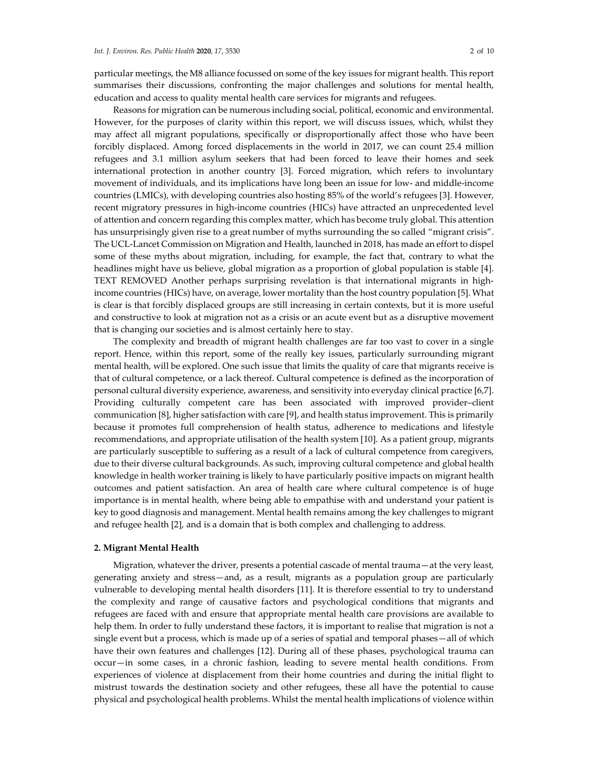particular meetings, the M8 alliance focussed on some of the key issues for migrant health. This report summarises their discussions, confronting the major challenges and solutions for mental health, education and access to quality mental health care services for migrants and refugees.

Reasons for migration can be numerous including social, political, economic and environmental. However, for the purposes of clarity within this report, we will discuss issues, which, whilst they may affect all migrant populations, specifically or disproportionally affect those who have been forcibly displaced. Among forced displacements in the world in 2017, we can count 25.4 million refugees and 3.1 million asylum seekers that had been forced to leave their homes and seek international protection in another country [3]. Forced migration, which refers to involuntary movement of individuals, and its implications have long been an issue for low- and middle-income countries (LMICs), with developing countries also hosting 85% of the world's refugees [3]. However, recent migratory pressures in high-income countries (HICs) have attracted an unprecedented level of attention and concern regarding this complex matter, which has become truly global. This attention has unsurprisingly given rise to a great number of myths surrounding the so called "migrant crisis". The UCL-Lancet Commission on Migration and Health, launched in 2018, has made an effort to dispel some of these myths about migration, including, for example, the fact that, contrary to what the headlines might have us believe, global migration as a proportion of global population is stable [4]. TEXT REMOVED Another perhaps surprising revelation is that international migrants in highincome countries (HICs) have, on average, lower mortality than the host country population [5]. What is clear is that forcibly displaced groups are still increasing in certain contexts, but it is more useful and constructive to look at migration not as a crisis or an acute event but as a disruptive movement that is changing our societies and is almost certainly here to stay.

The complexity and breadth of migrant health challenges are far too vast to cover in a single report. Hence, within this report, some of the really key issues, particularly surrounding migrant mental health, will be explored. One such issue that limits the quality of care that migrants receive is that of cultural competence, or a lack thereof. Cultural competence is defined as the incorporation of personal cultural diversity experience, awareness, and sensitivity into everyday clinical practice [6,7]. Providing culturally competent care has been associated with improved provider–client communication [8], higher satisfaction with care [9], and health status improvement. This is primarily because it promotes full comprehension of health status, adherence to medications and lifestyle recommendations, and appropriate utilisation of the health system [10]. As a patient group, migrants are particularly susceptible to suffering as a result of a lack of cultural competence from caregivers, due to their diverse cultural backgrounds. As such, improving cultural competence and global health knowledge in health worker training is likely to have particularly positive impacts on migrant health outcomes and patient satisfaction. An area of health care where cultural competence is of huge importance is in mental health, where being able to empathise with and understand your patient is key to good diagnosis and management. Mental health remains among the key challenges to migrant and refugee health [2], and is a domain that is both complex and challenging to address.

#### **2. Migrant Mental Health**

Migration, whatever the driver, presents a potential cascade of mental trauma—at the very least, generating anxiety and stress—and, as a result, migrants as a population group are particularly vulnerable to developing mental health disorders [11]. It is therefore essential to try to understand the complexity and range of causative factors and psychological conditions that migrants and refugees are faced with and ensure that appropriate mental health care provisions are available to help them. In order to fully understand these factors, it is important to realise that migration is not a single event but a process, which is made up of a series of spatial and temporal phases—all of which have their own features and challenges [12]. During all of these phases, psychological trauma can occur—in some cases, in a chronic fashion, leading to severe mental health conditions. From experiences of violence at displacement from their home countries and during the initial flight to mistrust towards the destination society and other refugees, these all have the potential to cause physical and psychological health problems. Whilst the mental health implications of violence within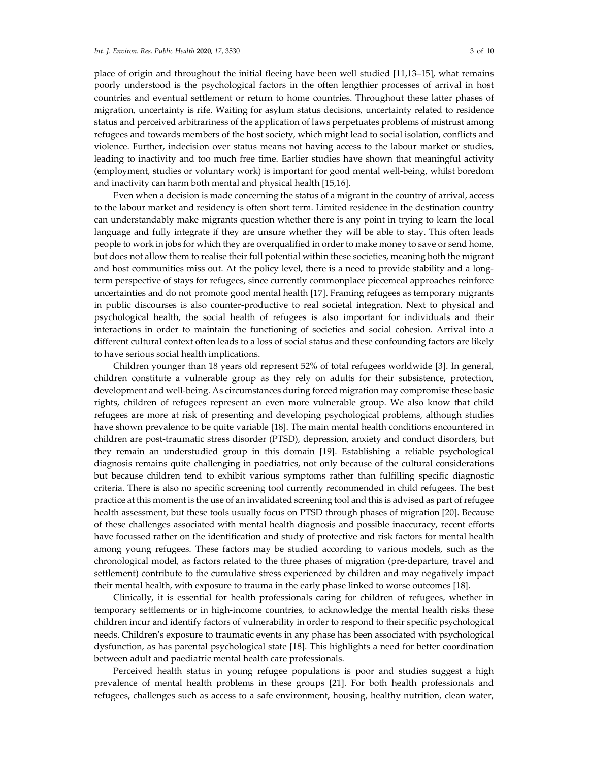place of origin and throughout the initial fleeing have been well studied [11,13–15], what remains poorly understood is the psychological factors in the often lengthier processes of arrival in host countries and eventual settlement or return to home countries. Throughout these latter phases of migration, uncertainty is rife. Waiting for asylum status decisions, uncertainty related to residence status and perceived arbitrariness of the application of laws perpetuates problems of mistrust among refugees and towards members of the host society, which might lead to social isolation, conflicts and violence. Further, indecision over status means not having access to the labour market or studies, leading to inactivity and too much free time. Earlier studies have shown that meaningful activity (employment, studies or voluntary work) is important for good mental well-being, whilst boredom and inactivity can harm both mental and physical health [15,16].

Even when a decision is made concerning the status of a migrant in the country of arrival, access to the labour market and residency is often short term. Limited residence in the destination country can understandably make migrants question whether there is any point in trying to learn the local language and fully integrate if they are unsure whether they will be able to stay. This often leads people to work in jobs for which they are overqualified in order to make money to save or send home, but does not allow them to realise their full potential within these societies, meaning both the migrant and host communities miss out. At the policy level, there is a need to provide stability and a longterm perspective of stays for refugees, since currently commonplace piecemeal approaches reinforce uncertainties and do not promote good mental health [17]. Framing refugees as temporary migrants in public discourses is also counter-productive to real societal integration. Next to physical and psychological health, the social health of refugees is also important for individuals and their interactions in order to maintain the functioning of societies and social cohesion. Arrival into a different cultural context often leads to a loss of social status and these confounding factors are likely to have serious social health implications.

Children younger than 18 years old represent 52% of total refugees worldwide [3]. In general, children constitute a vulnerable group as they rely on adults for their subsistence, protection, development and well-being. As circumstances during forced migration may compromise these basic rights, children of refugees represent an even more vulnerable group. We also know that child refugees are more at risk of presenting and developing psychological problems, although studies have shown prevalence to be quite variable [18]. The main mental health conditions encountered in children are post-traumatic stress disorder (PTSD), depression, anxiety and conduct disorders, but they remain an understudied group in this domain [19]. Establishing a reliable psychological diagnosis remains quite challenging in paediatrics, not only because of the cultural considerations but because children tend to exhibit various symptoms rather than fulfilling specific diagnostic criteria. There is also no specific screening tool currently recommended in child refugees. The best practice at this moment is the use of an invalidated screening tool and this is advised as part of refugee health assessment, but these tools usually focus on PTSD through phases of migration [20]. Because of these challenges associated with mental health diagnosis and possible inaccuracy, recent efforts have focussed rather on the identification and study of protective and risk factors for mental health among young refugees. These factors may be studied according to various models, such as the chronological model, as factors related to the three phases of migration (pre-departure, travel and settlement) contribute to the cumulative stress experienced by children and may negatively impact their mental health, with exposure to trauma in the early phase linked to worse outcomes [18].

Clinically, it is essential for health professionals caring for children of refugees, whether in temporary settlements or in high-income countries, to acknowledge the mental health risks these children incur and identify factors of vulnerability in order to respond to their specific psychological needs. Children's exposure to traumatic events in any phase has been associated with psychological dysfunction, as has parental psychological state [18]. This highlights a need for better coordination between adult and paediatric mental health care professionals.

Perceived health status in young refugee populations is poor and studies suggest a high prevalence of mental health problems in these groups [21]. For both health professionals and refugees, challenges such as access to a safe environment, housing, healthy nutrition, clean water,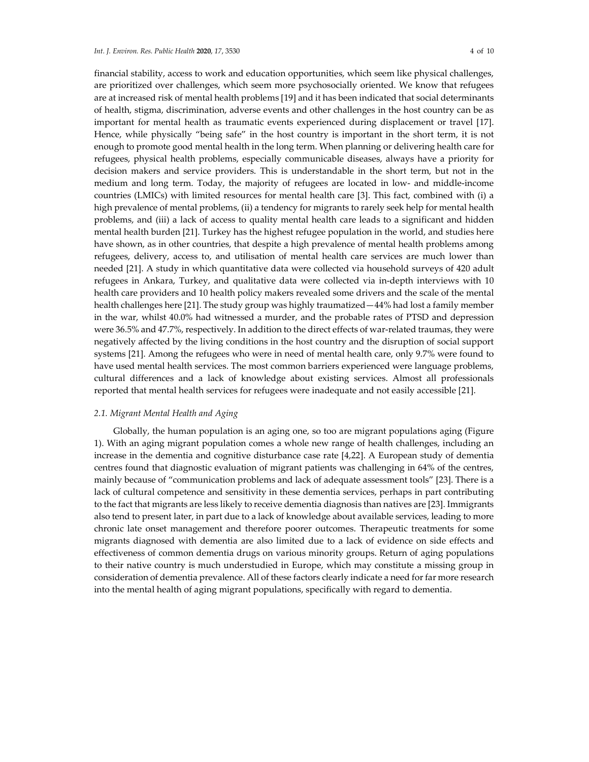financial stability, access to work and education opportunities, which seem like physical challenges, are prioritized over challenges, which seem more psychosocially oriented. We know that refugees are at increased risk of mental health problems [19] and it has been indicated that social determinants of health, stigma, discrimination, adverse events and other challenges in the host country can be as important for mental health as traumatic events experienced during displacement or travel [17]. Hence, while physically "being safe" in the host country is important in the short term, it is not enough to promote good mental health in the long term. When planning or delivering health care for refugees, physical health problems, especially communicable diseases, always have a priority for decision makers and service providers. This is understandable in the short term, but not in the medium and long term. Today, the majority of refugees are located in low- and middle-income countries (LMICs) with limited resources for mental health care [3]. This fact, combined with (i) a high prevalence of mental problems, (ii) a tendency for migrants to rarely seek help for mental health problems, and (iii) a lack of access to quality mental health care leads to a significant and hidden mental health burden [21]. Turkey has the highest refugee population in the world, and studies here have shown, as in other countries, that despite a high prevalence of mental health problems among refugees, delivery, access to, and utilisation of mental health care services are much lower than needed [21]. A study in which quantitative data were collected via household surveys of 420 adult refugees in Ankara, Turkey, and qualitative data were collected via in-depth interviews with 10 health care providers and 10 health policy makers revealed some drivers and the scale of the mental health challenges here [21]. The study group was highly traumatized—44% had lost a family member in the war, whilst 40.0% had witnessed a murder, and the probable rates of PTSD and depression were 36.5% and 47.7%, respectively. In addition to the direct effects of war-related traumas, they were negatively affected by the living conditions in the host country and the disruption of social support systems [21]. Among the refugees who were in need of mental health care, only 9.7% were found to have used mental health services. The most common barriers experienced were language problems, cultural differences and a lack of knowledge about existing services. Almost all professionals reported that mental health services for refugees were inadequate and not easily accessible [21].

#### *2.1. Migrant Mental Health and Aging*

Globally, the human population is an aging one, so too are migrant populations aging (Figure 1). With an aging migrant population comes a whole new range of health challenges, including an increase in the dementia and cognitive disturbance case rate [4,22]. A European study of dementia centres found that diagnostic evaluation of migrant patients was challenging in 64% of the centres, mainly because of "communication problems and lack of adequate assessment tools" [23]. There is a lack of cultural competence and sensitivity in these dementia services, perhaps in part contributing to the fact that migrants are less likely to receive dementia diagnosis than natives are [23]. Immigrants also tend to present later, in part due to a lack of knowledge about available services, leading to more chronic late onset management and therefore poorer outcomes. Therapeutic treatments for some migrants diagnosed with dementia are also limited due to a lack of evidence on side effects and effectiveness of common dementia drugs on various minority groups. Return of aging populations to their native country is much understudied in Europe, which may constitute a missing group in consideration of dementia prevalence. All of these factors clearly indicate a need for far more research into the mental health of aging migrant populations, specifically with regard to dementia.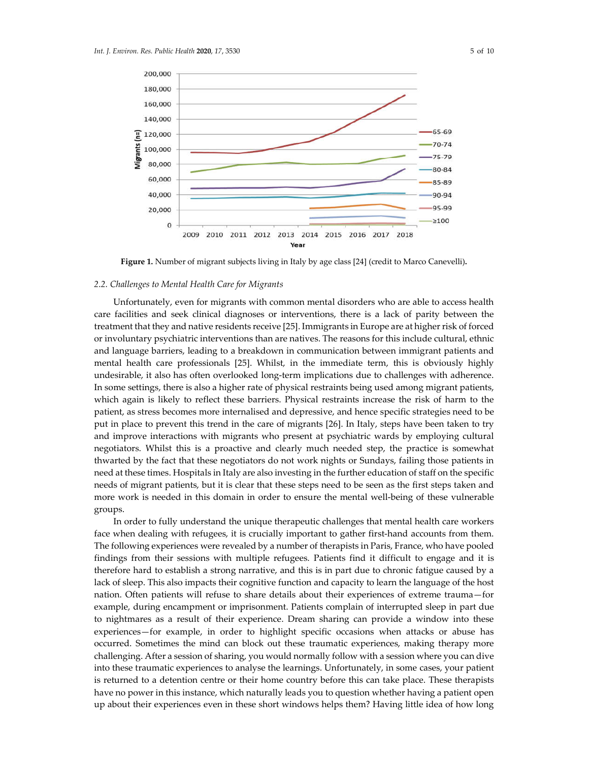

**Figure 1.** Number of migrant subjects living in Italy by age class [24] (credit to Marco Canevelli)**.**

## *2.2. Challenges to Mental Health Care for Migrants*

Unfortunately, even for migrants with common mental disorders who are able to access health care facilities and seek clinical diagnoses or interventions, there is a lack of parity between the treatment that they and native residents receive [25]. Immigrants in Europe are at higher risk of forced or involuntary psychiatric interventions than are natives. The reasons for this include cultural, ethnic and language barriers, leading to a breakdown in communication between immigrant patients and mental health care professionals [25]. Whilst, in the immediate term, this is obviously highly undesirable, it also has often overlooked long-term implications due to challenges with adherence. In some settings, there is also a higher rate of physical restraints being used among migrant patients, which again is likely to reflect these barriers. Physical restraints increase the risk of harm to the patient, as stress becomes more internalised and depressive, and hence specific strategies need to be put in place to prevent this trend in the care of migrants [26]. In Italy, steps have been taken to try and improve interactions with migrants who present at psychiatric wards by employing cultural negotiators. Whilst this is a proactive and clearly much needed step, the practice is somewhat thwarted by the fact that these negotiators do not work nights or Sundays, failing those patients in need at these times. Hospitals in Italy are also investing in the further education of staff on the specific needs of migrant patients, but it is clear that these steps need to be seen as the first steps taken and more work is needed in this domain in order to ensure the mental well-being of these vulnerable groups.

In order to fully understand the unique therapeutic challenges that mental health care workers face when dealing with refugees, it is crucially important to gather first-hand accounts from them. The following experiences were revealed by a number of therapists in Paris, France, who have pooled findings from their sessions with multiple refugees. Patients find it difficult to engage and it is therefore hard to establish a strong narrative, and this is in part due to chronic fatigue caused by a lack of sleep. This also impacts their cognitive function and capacity to learn the language of the host nation. Often patients will refuse to share details about their experiences of extreme trauma—for example, during encampment or imprisonment. Patients complain of interrupted sleep in part due to nightmares as a result of their experience. Dream sharing can provide a window into these experiences—for example, in order to highlight specific occasions when attacks or abuse has occurred. Sometimes the mind can block out these traumatic experiences, making therapy more challenging. After a session of sharing, you would normally follow with a session where you can dive into these traumatic experiences to analyse the learnings. Unfortunately, in some cases, your patient is returned to a detention centre or their home country before this can take place. These therapists have no power in this instance, which naturally leads you to question whether having a patient open up about their experiences even in these short windows helps them? Having little idea of how long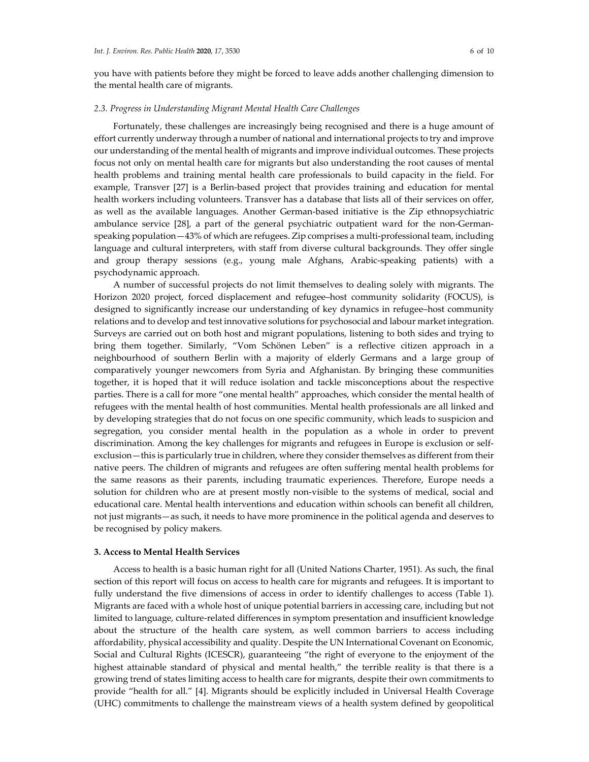you have with patients before they might be forced to leave adds another challenging dimension to the mental health care of migrants.

#### *2.3. Progress in Understanding Migrant Mental Health Care Challenges*

Fortunately, these challenges are increasingly being recognised and there is a huge amount of effort currently underway through a number of national and international projects to try and improve our understanding of the mental health of migrants and improve individual outcomes. These projects focus not only on mental health care for migrants but also understanding the root causes of mental health problems and training mental health care professionals to build capacity in the field. For example, Transver [27] is a Berlin-based project that provides training and education for mental health workers including volunteers. Transver has a database that lists all of their services on offer, as well as the available languages. Another German-based initiative is the Zip ethnopsychiatric ambulance service [28], a part of the general psychiatric outpatient ward for the non-Germanspeaking population—43% of which are refugees. Zip comprises a multi-professional team, including language and cultural interpreters, with staff from diverse cultural backgrounds. They offer single and group therapy sessions (e.g., young male Afghans, Arabic-speaking patients) with a psychodynamic approach.

A number of successful projects do not limit themselves to dealing solely with migrants. The Horizon 2020 project, forced displacement and refugee–host community solidarity (FOCUS), is designed to significantly increase our understanding of key dynamics in refugee–host community relations and to develop and test innovative solutions for psychosocial and labour market integration. Surveys are carried out on both host and migrant populations, listening to both sides and trying to bring them together. Similarly, "Vom Schönen Leben" is a reflective citizen approach in a neighbourhood of southern Berlin with a majority of elderly Germans and a large group of comparatively younger newcomers from Syria and Afghanistan. By bringing these communities together, it is hoped that it will reduce isolation and tackle misconceptions about the respective parties. There is a call for more "one mental health" approaches, which consider the mental health of refugees with the mental health of host communities. Mental health professionals are all linked and by developing strategies that do not focus on one specific community, which leads to suspicion and segregation, you consider mental health in the population as a whole in order to prevent discrimination. Among the key challenges for migrants and refugees in Europe is exclusion or selfexclusion—this is particularly true in children, where they consider themselves as different from their native peers. The children of migrants and refugees are often suffering mental health problems for the same reasons as their parents, including traumatic experiences. Therefore, Europe needs a solution for children who are at present mostly non-visible to the systems of medical, social and educational care. Mental health interventions and education within schools can benefit all children, not just migrants—as such, it needs to have more prominence in the political agenda and deserves to be recognised by policy makers.

#### **3. Access to Mental Health Services**

Access to health is a basic human right for all (United Nations Charter, 1951). As such, the final section of this report will focus on access to health care for migrants and refugees. It is important to fully understand the five dimensions of access in order to identify challenges to access (Table 1). Migrants are faced with a whole host of unique potential barriers in accessing care, including but not limited to language, culture-related differences in symptom presentation and insufficient knowledge about the structure of the health care system, as well common barriers to access including affordability, physical accessibility and quality. Despite the UN International Covenant on Economic, Social and Cultural Rights (ICESCR), guaranteeing "the right of everyone to the enjoyment of the highest attainable standard of physical and mental health," the terrible reality is that there is a growing trend of states limiting access to health care for migrants, despite their own commitments to provide "health for all." [4]. Migrants should be explicitly included in Universal Health Coverage (UHC) commitments to challenge the mainstream views of a health system defined by geopolitical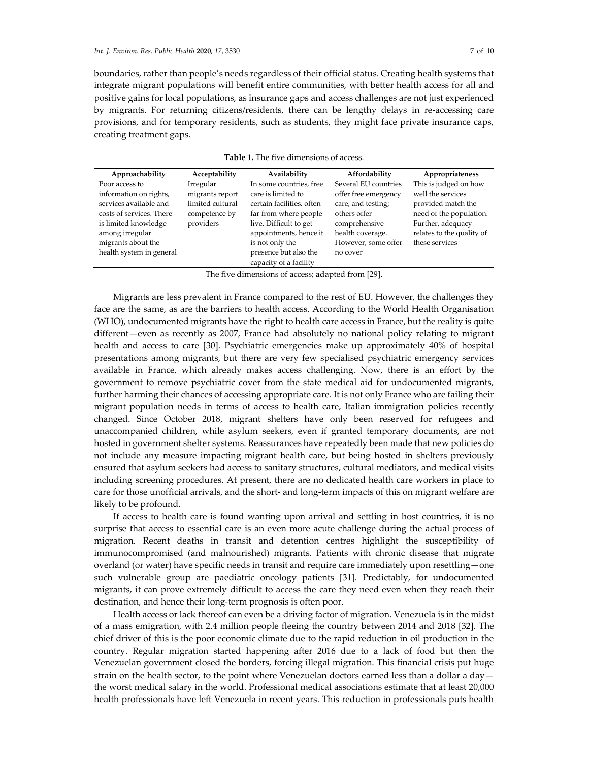boundaries, rather than people's needs regardless of their official status. Creating health systems that integrate migrant populations will benefit entire communities, with better health access for all and positive gains for local populations, as insurance gaps and access challenges are not just experienced by migrants. For returning citizens/residents, there can be lengthy delays in re-accessing care provisions, and for temporary residents, such as students, they might face private insurance caps, creating treatment gaps.

| Approachability          | Acceptability    | Availability              | Affordability        | Appropriateness           |
|--------------------------|------------------|---------------------------|----------------------|---------------------------|
| Poor access to           | Irregular        | In some countries, free   | Several EU countries | This is judged on how     |
| information on rights,   | migrants report  | care is limited to        | offer free emergency | well the services         |
| services available and   | limited cultural | certain facilities, often | care, and testing;   | provided match the        |
| costs of services. There | competence by    | far from where people     | others offer         | need of the population.   |
| is limited knowledge     | providers        | live. Difficult to get    | comprehensive        | Further, adequacy         |
| among irregular          |                  | appointments, hence it    | health coverage.     | relates to the quality of |
| migrants about the       |                  | is not only the           | However, some offer  | these services            |
| health system in general |                  | presence but also the     | no cover             |                           |
|                          |                  | capacity of a facility    |                      |                           |

**Table 1.** The five dimensions of access.

The five dimensions of access; adapted from [29].

Migrants are less prevalent in France compared to the rest of EU. However, the challenges they face are the same, as are the barriers to health access. According to the World Health Organisation (WHO), undocumented migrants have the right to health care access in France, but the reality is quite different—even as recently as 2007, France had absolutely no national policy relating to migrant health and access to care [30]. Psychiatric emergencies make up approximately 40% of hospital presentations among migrants, but there are very few specialised psychiatric emergency services available in France, which already makes access challenging. Now, there is an effort by the government to remove psychiatric cover from the state medical aid for undocumented migrants, further harming their chances of accessing appropriate care. It is not only France who are failing their migrant population needs in terms of access to health care, Italian immigration policies recently changed. Since October 2018, migrant shelters have only been reserved for refugees and unaccompanied children, while asylum seekers, even if granted temporary documents, are not hosted in government shelter systems. Reassurances have repeatedly been made that new policies do not include any measure impacting migrant health care, but being hosted in shelters previously ensured that asylum seekers had access to sanitary structures, cultural mediators, and medical visits including screening procedures. At present, there are no dedicated health care workers in place to care for those unofficial arrivals, and the short- and long-term impacts of this on migrant welfare are likely to be profound.

If access to health care is found wanting upon arrival and settling in host countries, it is no surprise that access to essential care is an even more acute challenge during the actual process of migration. Recent deaths in transit and detention centres highlight the susceptibility of immunocompromised (and malnourished) migrants. Patients with chronic disease that migrate overland (or water) have specific needs in transit and require care immediately upon resettling—one such vulnerable group are paediatric oncology patients [31]. Predictably, for undocumented migrants, it can prove extremely difficult to access the care they need even when they reach their destination, and hence their long-term prognosis is often poor.

Health access or lack thereof can even be a driving factor of migration. Venezuela is in the midst of a mass emigration, with 2.4 million people fleeing the country between 2014 and 2018 [32]. The chief driver of this is the poor economic climate due to the rapid reduction in oil production in the country. Regular migration started happening after 2016 due to a lack of food but then the Venezuelan government closed the borders, forcing illegal migration. This financial crisis put huge strain on the health sector, to the point where Venezuelan doctors earned less than a dollar a day the worst medical salary in the world. Professional medical associations estimate that at least 20,000 health professionals have left Venezuela in recent years. This reduction in professionals puts health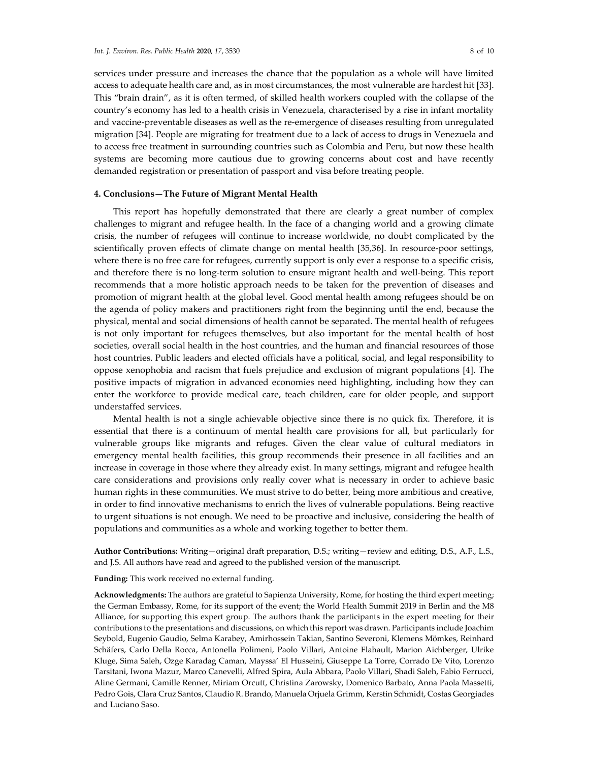services under pressure and increases the chance that the population as a whole will have limited access to adequate health care and, as in most circumstances, the most vulnerable are hardest hit [33]. This "brain drain", as it is often termed, of skilled health workers coupled with the collapse of the country's economy has led to a health crisis in Venezuela, characterised by a rise in infant mortality and vaccine-preventable diseases as well as the re-emergence of diseases resulting from unregulated migration [34]. People are migrating for treatment due to a lack of access to drugs in Venezuela and to access free treatment in surrounding countries such as Colombia and Peru, but now these health systems are becoming more cautious due to growing concerns about cost and have recently demanded registration or presentation of passport and visa before treating people.

## **4. Conclusions—The Future of Migrant Mental Health**

This report has hopefully demonstrated that there are clearly a great number of complex challenges to migrant and refugee health. In the face of a changing world and a growing climate crisis, the number of refugees will continue to increase worldwide, no doubt complicated by the scientifically proven effects of climate change on mental health [35,36]. In resource-poor settings, where there is no free care for refugees, currently support is only ever a response to a specific crisis, and therefore there is no long-term solution to ensure migrant health and well-being. This report recommends that a more holistic approach needs to be taken for the prevention of diseases and promotion of migrant health at the global level. Good mental health among refugees should be on the agenda of policy makers and practitioners right from the beginning until the end, because the physical, mental and social dimensions of health cannot be separated. The mental health of refugees is not only important for refugees themselves, but also important for the mental health of host societies, overall social health in the host countries, and the human and financial resources of those host countries. Public leaders and elected officials have a political, social, and legal responsibility to oppose xenophobia and racism that fuels prejudice and exclusion of migrant populations [4]. The positive impacts of migration in advanced economies need highlighting, including how they can enter the workforce to provide medical care, teach children, care for older people, and support understaffed services.

Mental health is not a single achievable objective since there is no quick fix. Therefore, it is essential that there is a continuum of mental health care provisions for all, but particularly for vulnerable groups like migrants and refuges. Given the clear value of cultural mediators in emergency mental health facilities, this group recommends their presence in all facilities and an increase in coverage in those where they already exist. In many settings, migrant and refugee health care considerations and provisions only really cover what is necessary in order to achieve basic human rights in these communities. We must strive to do better, being more ambitious and creative, in order to find innovative mechanisms to enrich the lives of vulnerable populations. Being reactive to urgent situations is not enough. We need to be proactive and inclusive, considering the health of populations and communities as a whole and working together to better them.

**Author Contributions:** Writing—original draft preparation, D.S.; writing—review and editing, D.S., A.F., L.S., and J.S. All authors have read and agreed to the published version of the manuscript.

#### **Funding:** This work received no external funding.

**Acknowledgments:** The authors are grateful to Sapienza University, Rome, for hosting the third expert meeting; the German Embassy, Rome, for its support of the event; the World Health Summit 2019 in Berlin and the M8 Alliance, for supporting this expert group. The authors thank the participants in the expert meeting for their contributions to the presentations and discussions, on which this report was drawn. Participants include Joachim Seybold, Eugenio Gaudio, Selma Karabey, Amirhossein Takian, Santino Severoni, Klemens Mömkes, Reinhard Schäfers, Carlo Della Rocca, Antonella Polimeni, Paolo Villari, Antoine Flahault, Marion Aichberger, Ulrike Kluge, Sima Saleh, Ozge Karadag Caman, Mayssa' El Husseini, Giuseppe La Torre, Corrado De Vito, Lorenzo Tarsitani, Iwona Mazur, Marco Canevelli, Alfred Spira, Aula Abbara, Paolo Villari, Shadi Saleh, Fabio Ferrucci, Aline Germani, Camille Renner, Miriam Orcutt, Christina Zarowsky, Domenico Barbato, Anna Paola Massetti, Pedro Gois, Clara Cruz Santos, Claudio R. Brando, Manuela Orjuela Grimm, Kerstin Schmidt, Costas Georgiades and Luciano Saso.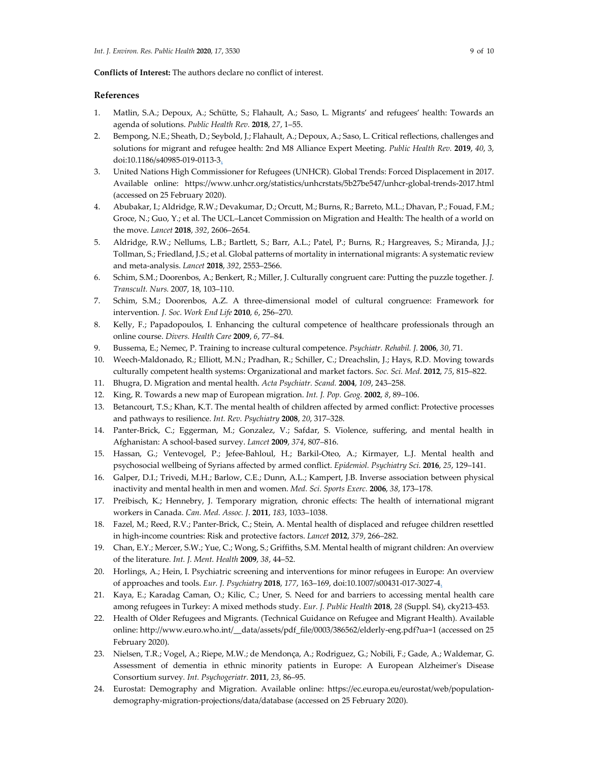**Conflicts of Interest:** The authors declare no conflict of interest.

## **References**

- 1. Matlin, S.A.; Depoux, A.; Schütte, S.; Flahault, A.; Saso, L. Migrants' and refugees' health: Towards an agenda of solutions. *Public Health Rev.* **2018**, *27*, 1–55.
- 2. Bempong, N.E.; Sheath, D.; Seybold, J.; Flahault, A.; Depoux, A.; Saso, L. Critical reflections, challenges and solutions for migrant and refugee health: 2nd M8 Alliance Expert Meeting. *Public Health Rev.* **2019**, *40*, 3, doi:10.1186/s40985-019-0113-3.
- 3. United Nations High Commissioner for Refugees (UNHCR). Global Trends: Forced Displacement in 2017. Available online: https://www.unhcr.org/statistics/unhcrstats/5b27be547/unhcr-global-trends-2017.html (accessed on 25 February 2020).
- 4. Abubakar, I.; Aldridge, R.W.; Devakumar, D.; Orcutt, M.; Burns, R.; Barreto, M.L.; Dhavan, P.; Fouad, F.M.; Groce, N.; Guo, Y.; et al. The UCL–Lancet Commission on Migration and Health: The health of a world on the move. *Lancet* **2018**, *392*, 2606–2654.
- 5. Aldridge, R.W.; Nellums, L.B.; Bartlett, S.; Barr, A.L.; Patel, P.; Burns, R.; Hargreaves, S.; Miranda, J.J.; Tollman, S.; Friedland, J.S.; et al. Global patterns of mortality in international migrants: A systematic review and meta-analysis. *Lancet* **2018**, *392*, 2553–2566.
- 6. Schim, S.M.; Doorenbos, A.; Benkert, R.; Miller, J. Culturally congruent care: Putting the puzzle together. *J. Transcult. Nurs.* 2007, 18, 103–110.
- 7. Schim, S.M.; Doorenbos, A.Z. A three-dimensional model of cultural congruence: Framework for intervention*. J. Soc. Work End Life* **2010**, *6*, 256–270.
- 8. Kelly, F.; Papadopoulos, I. Enhancing the cultural competence of healthcare professionals through an online course. *Divers. Health Care* **2009**, *6*, 77–84*.*
- 9. Bussema, E.; Nemec, P. Training to increase cultural competence. *Psychiatr. Rehabil. J.* **2006**, *30*, 71.
- 10. Weech-Maldonado, R.; Elliott, M.N.; Pradhan, R.; Schiller, C.; Dreachslin, J.; Hays, R.D. Moving towards culturally competent health systems: Organizational and market factors. *Soc. Sci. Med*. **2012**, *75*, 815–822.
- 11. Bhugra, D. Migration and mental health. *Acta Psychiatr. Scand.* **2004**, *109*, 243–258.
- 12. King, R. Towards a new map of European migration. *Int. J. Pop. Geog.* **2002**, *8*, 89–106.
- 13. Betancourt, T.S.; Khan, K.T. The mental health of children affected by armed conflict: Protective processes and pathways to resilience. *Int. Rev. Psychiatry* **2008**, *20*, 317–328.
- 14. Panter-Brick, C.; Eggerman, M.; Gonzalez, V.; Safdar, S. Violence, suffering, and mental health in Afghanistan: A school-based survey. *Lancet* **2009**, *374*, 807–816.
- 15. Hassan, G.; Ventevogel, P.; Jefee-Bahloul, H.; Barkil-Oteo, A.; Kirmayer, L.J. Mental health and psychosocial wellbeing of Syrians affected by armed conflict. *Epidemiol. Psychiatry Sci*. **2016**, *25*, 129–141.
- 16. Galper, D.I.; Trivedi, M.H.; Barlow, C.E.; Dunn, A.L.; Kampert, J.B. Inverse association between physical inactivity and mental health in men and women. *Med. Sci. Sports Exerc.* **2006**, *38*, 173–178.
- 17. Preibisch, K.; Hennebry, J. Temporary migration, chronic effects: The health of international migrant workers in Canada. *Can. Med. Assoc. J*. **2011**, *183*, 1033–1038.
- 18. Fazel, M.; Reed, R.V.; Panter-Brick, C.; Stein, A. Mental health of displaced and refugee children resettled in high-income countries: Risk and protective factors. *Lancet* **2012**, *379*, 266–282.
- 19. Chan, E.Y.; Mercer, S.W.; Yue, C.; Wong, S.; Griffiths, S.M. Mental health of migrant children: An overview of the literature*. Int. J. Ment. Health* **2009**, *38*, 44–52.
- 20. Horlings, A.; Hein, I. Psychiatric screening and interventions for minor refugees in Europe: An overview of approaches and tools. *Eur. J. Psychiatry* **2018**, *177*, 163–169, doi:10.1007/s00431-017-3027-4.
- 21. Kaya, E.; Karadag Caman, O.; Kilic, C.; Uner, S. Need for and barriers to accessing mental health care among refugees in Turkey: A mixed methods study. *Eur. J. Public Health* **2018**, *28* (Suppl. S4), cky213-453.
- 22. Health of Older Refugees and Migrants. (Technical Guidance on Refugee and Migrant Health). Available online: http://www.euro.who.int/\_\_data/assets/pdf\_file/0003/386562/elderly-eng.pdf?ua=1 (accessed on 25 February 2020).
- 23. Nielsen, T.R.; Vogel, A.; Riepe, M.W.; de Mendonça, A.; Rodriguez, G.; Nobili, F.; Gade, A.; Waldemar, G. Assessment of dementia in ethnic minority patients in Europe: A European Alzheimer's Disease Consortium survey*. Int. Psychogeriatr.* **2011**, *23*, 86–95.
- 24. Eurostat: Demography and Migration. Available online: https://ec.europa.eu/eurostat/web/populationdemography-migration-projections/data/database (accessed on 25 February 2020).